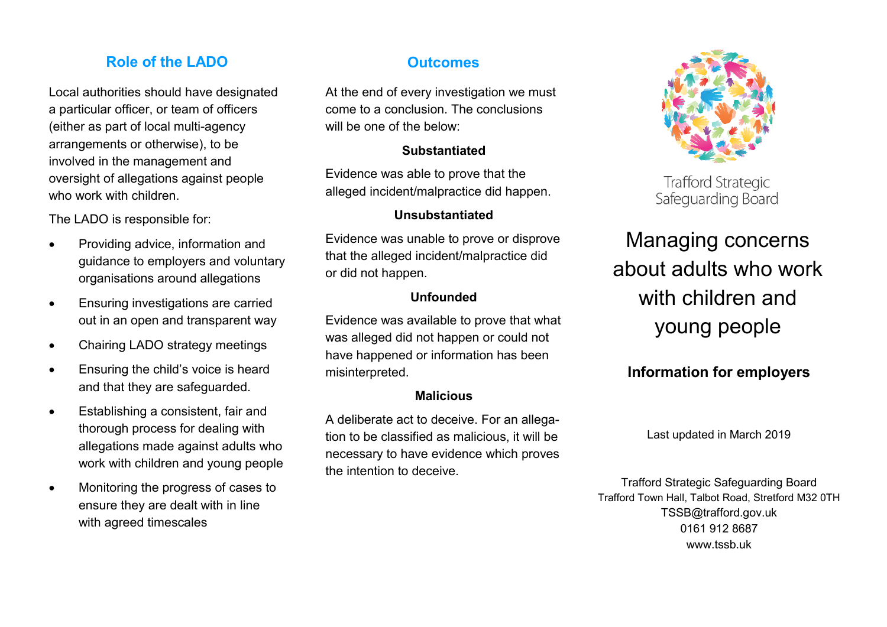### **Role of the LADO CONSIDERING OUTCOMES**

Local authorities should have designated a particular officer, or team of officers (either as part of local multi-agency arrangements or otherwise), to be involved in the management and oversight of allegations against people who work with children.

The LADO is responsible for:

- Providing advice, information and guidance to employers and voluntary organisations around allegations
- **Ensuring investigations are carried** out in an open and transparent way
- Chairing LADO strategy meetings
- Ensuring the child's voice is heard and that they are safeguarded.
- Establishing a consistent, fair and thorough process for dealing with allegations made against adults who work with children and young people
- Monitoring the progress of cases to ensure they are dealt with in line with agreed timescales

At the end of every investigation we must come to a conclusion. The conclusions will be one of the below:

### **Substantiated**

Evidence was able to prove that the alleged incident/malpractice did happen.

### **Unsubstantiated**

Evidence was unable to prove or disprove that the alleged incident/malpractice did or did not happen.

### **Unfounded**

Evidence was available to prove that what was alleged did not happen or could not have happened or information has been misinterpreted.

### **Malicious**

A deliberate act to deceive. For an allegation to be classified as malicious, it will be necessary to have evidence which proves the intention to deceive.



**Trafford Strategic** Safeguarding Board

## Managing concerns about adults who work with children and young people

## **Information for employers**

Last updated in March 2019

Trafford Strategic Safeguarding Board Trafford Town Hall, Talbot Road, Stretford M32 0TH TSSB@trafford.gov.uk 0161 912 8687 www.tssb.uk